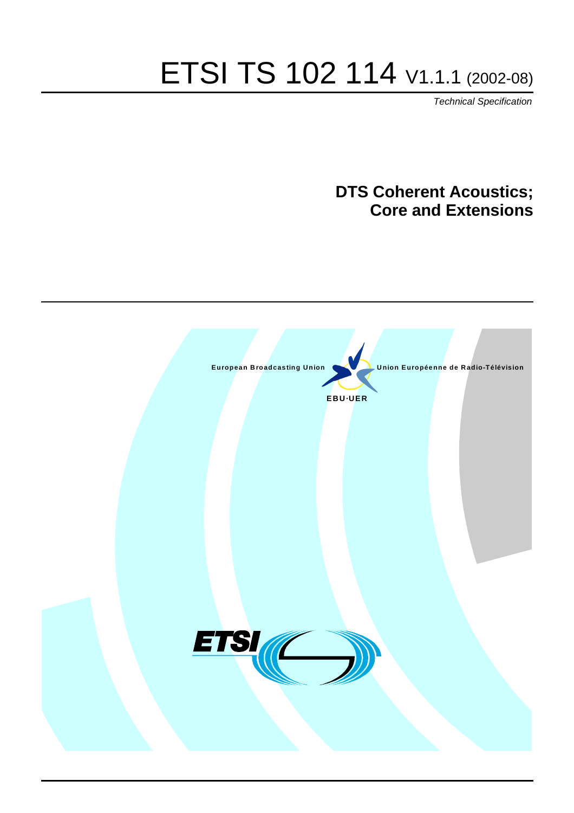# ETSI TS 102 114 V1.1.1 (2002-08)

Technical Specification

### **DTS Coherent Acoustics; Core and Extensions**

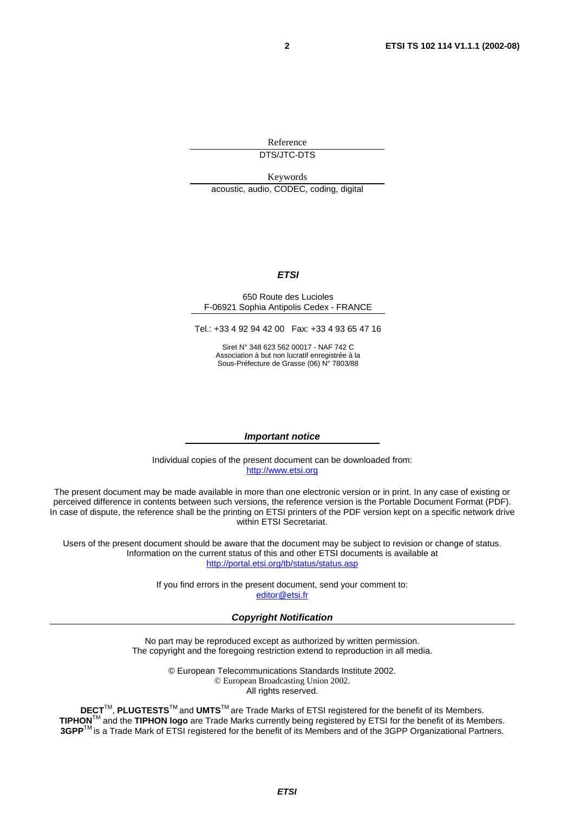Reference

DTS/JTC-DTS

Keywords acoustic, audio, CODEC, coding, digital

#### **ETSI**

#### 650 Route des Lucioles F-06921 Sophia Antipolis Cedex - FRANCE

Tel.: +33 4 92 94 42 00 Fax: +33 4 93 65 47 16

Siret N° 348 623 562 00017 - NAF 742 C Association à but non lucratif enregistrée à la Sous-Préfecture de Grasse (06) N° 7803/88

#### **Important notice**

Individual copies of the present document can be downloaded from: [http://www.etsi.org](http://www.etsi.org/)

The present document may be made available in more than one electronic version or in print. In any case of existing or perceived difference in contents between such versions, the reference version is the Portable Document Format (PDF). In case of dispute, the reference shall be the printing on ETSI printers of the PDF version kept on a specific network drive within ETSI Secretariat.

Users of the present document should be aware that the document may be subject to revision or change of status. Information on the current status of this and other ETSI documents is available at <http://portal.etsi.org/tb/status/status.asp>

> If you find errors in the present document, send your comment to: [editor@etsi.fr](mailto:editor@etsi.fr)

#### **Copyright Notification**

No part may be reproduced except as authorized by written permission. The copyright and the foregoing restriction extend to reproduction in all media.

> © European Telecommunications Standards Institute 2002. © European Broadcasting Union 2002. All rights reserved.

**DECT**TM, **PLUGTESTS**TM and **UMTS**TM are Trade Marks of ETSI registered for the benefit of its Members. **TIPHON**TM and the **TIPHON logo** are Trade Marks currently being registered by ETSI for the benefit of its Members. **3GPP**TM is a Trade Mark of ETSI registered for the benefit of its Members and of the 3GPP Organizational Partners.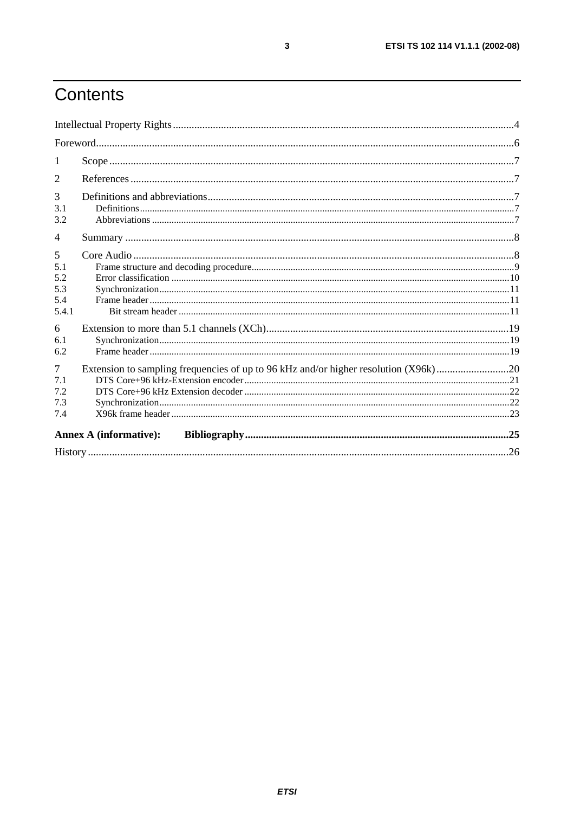# Contents

| 1                                          |                                                                                     |  |
|--------------------------------------------|-------------------------------------------------------------------------------------|--|
| 2                                          |                                                                                     |  |
| 3<br>3.1<br>3.2                            |                                                                                     |  |
| $\overline{4}$                             |                                                                                     |  |
| 5<br>5.1<br>5.2<br>5.3<br>5.4<br>5.4.1     |                                                                                     |  |
| 6<br>6.1<br>6.2                            |                                                                                     |  |
| $\overline{7}$<br>7.1<br>7.2<br>7.3<br>7.4 | Extension to sampling frequencies of up to 96 kHz and/or higher resolution (X96k)20 |  |
|                                            | <b>Annex A (informative):</b>                                                       |  |
|                                            |                                                                                     |  |

 $\overline{\mathbf{3}}$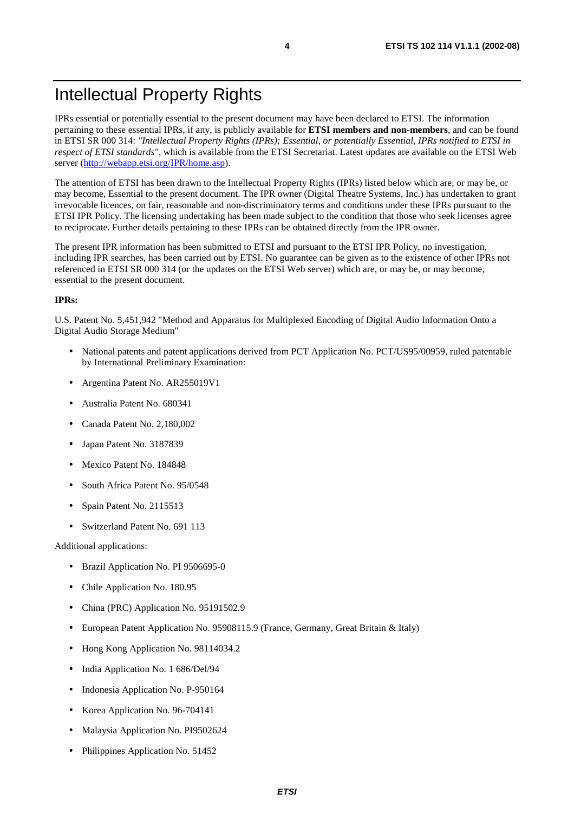### Intellectual Property Rights

IPRs essential or potentially essential to the present document may have been declared to ETSI. The information pertaining to these essential IPRs, if any, is publicly available for **ETSI members and non-members**, and can be found in ETSI SR 000 314: *"Intellectual Property Rights (IPRs); Essential, or potentially Essential, IPRs notified to ETSI in respect of ETSI standards"*, which is available from the ETSI Secretariat. Latest updates are available on the ETSI Web server ([http://webapp.etsi.org/IPR/home.asp\)](http://webapp.etsi.org/IPR/home.asp).

The attention of ETSI has been drawn to the Intellectual Property Rights (IPRs) listed below which are, or may be, or may become, Essential to the present document. The IPR owner (Digital Theatre Systems, Inc.) has undertaken to grant irrevocable licences, on fair, reasonable and non-discriminatory terms and conditions under these IPRs pursuant to the ETSI IPR Policy. The licensing undertaking has been made subject to the condition that those who seek licenses agree to reciprocate. Further details pertaining to these IPRs can be obtained directly from the IPR owner.

The present IPR information has been submitted to ETSI and pursuant to the ETSI IPR Policy, no investigation, including IPR searches, has been carried out by ETSI. No guarantee can be given as to the existence of other IPRs not referenced in ETSI SR 000 314 (or the updates on the ETSI Web server) which are, or may be, or may become, essential to the present document.

#### **IPRs:**

U.S. Patent No. 5,451,942 "Method and Apparatus for Multiplexed Encoding of Digital Audio Information Onto a Digital Audio Storage Medium"

- National patents and patent applications derived from PCT Application No. PCT/US95/00959, ruled patentable by International Preliminary Examination:
- Argentina Patent No. AR255019V1
- Australia Patent No. 680341
- Canada Patent No. 2,180,002
- Japan Patent No. 3187839
- Mexico Patent No. 184848
- South Africa Patent No. 95/0548
- Spain Patent No. 2115513
- Switzerland Patent No. 691 113

Additional applications:

- Brazil Application No. PI 9506695-0
- Chile Application No. 180.95
- China (PRC) Application No. 95191502.9
- European Patent Application No. 95908115.9 (France, Germany, Great Britain & Italy)
- Hong Kong Application No. 98114034.2
- India Application No. 1 686/Del/94
- Indonesia Application No. P-950164
- Korea Application No. 96-704141
- Malaysia Application No. PI9502624
- Philippines Application No. 51452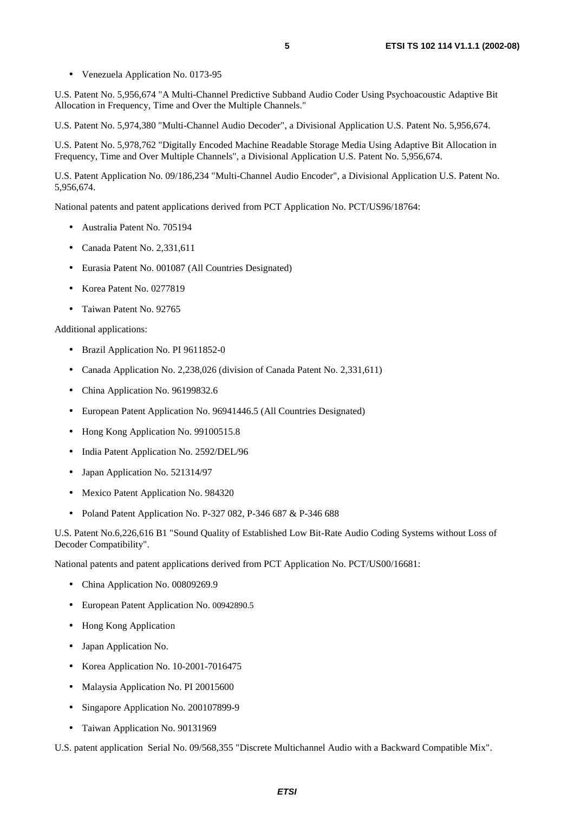- 
- Venezuela Application No. 0173-95

U.S. Patent No. 5,956,674 "A Multi-Channel Predictive Subband Audio Coder Using Psychoacoustic Adaptive Bit Allocation in Frequency, Time and Over the Multiple Channels."

U.S. Patent No. 5,974,380 "Multi-Channel Audio Decoder", a Divisional Application U.S. Patent No. 5,956,674.

U.S. Patent No. 5,978,762 "Digitally Encoded Machine Readable Storage Media Using Adaptive Bit Allocation in Frequency, Time and Over Multiple Channels", a Divisional Application U.S. Patent No. 5,956,674.

U.S. Patent Application No. 09/186,234 "Multi-Channel Audio Encoder", a Divisional Application U.S. Patent No. 5,956,674.

National patents and patent applications derived from PCT Application No. PCT/US96/18764:

- Australia Patent No. 705194
- Canada Patent No. 2,331,611
- Eurasia Patent No. 001087 (All Countries Designated)
- Korea Patent No. 0277819
- Taiwan Patent No. 92765

#### Additional applications:

- Brazil Application No. PI 9611852-0
- Canada Application No. 2,238,026 (division of Canada Patent No. 2,331,611)
- China Application No. 96199832.6
- European Patent Application No. 96941446.5 (All Countries Designated)
- Hong Kong Application No. 99100515.8
- India Patent Application No. 2592/DEL/96
- Japan Application No. 521314/97
- Mexico Patent Application No. 984320
- Poland Patent Application No. P-327 082, P-346 687 & P-346 688

U.S. Patent No.6,226,616 B1 "Sound Quality of Established Low Bit-Rate Audio Coding Systems without Loss of Decoder Compatibility".

National patents and patent applications derived from PCT Application No. PCT/US00/16681:

- China Application No. 00809269.9
- European Patent Application No. 00942890.5
- Hong Kong Application
- Japan Application No.
- Korea Application No. 10-2001-7016475
- Malaysia Application No. PI 20015600
- Singapore Application No. 200107899-9
- Taiwan Application No. 90131969

U.S. patent application Serial No. 09/568,355 "Discrete Multichannel Audio with a Backward Compatible Mix".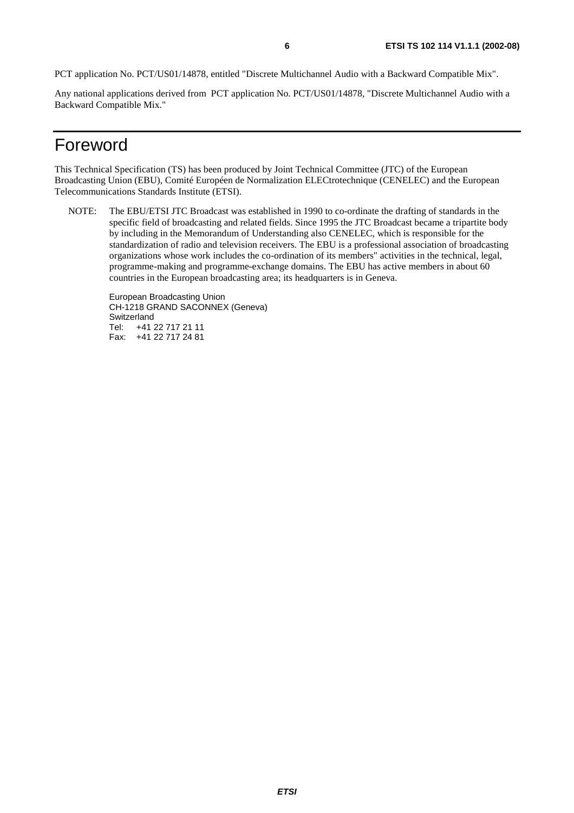PCT application No. PCT/US01/14878, entitled "Discrete Multichannel Audio with a Backward Compatible Mix".

Any national applications derived from PCT application No. PCT/US01/14878, "Discrete Multichannel Audio with a Backward Compatible Mix."

### Foreword

This Technical Specification (TS) has been produced by Joint Technical Committee (JTC) of the European Broadcasting Union (EBU), Comité Européen de Normalization ELECtrotechnique (CENELEC) and the European Telecommunications Standards Institute (ETSI).

NOTE: The EBU/ETSI JTC Broadcast was established in 1990 to co-ordinate the drafting of standards in the specific field of broadcasting and related fields. Since 1995 the JTC Broadcast became a tripartite body by including in the Memorandum of Understanding also CENELEC, which is responsible for the standardization of radio and television receivers. The EBU is a professional association of broadcasting organizations whose work includes the co-ordination of its members" activities in the technical, legal, programme-making and programme-exchange domains. The EBU has active members in about 60 countries in the European broadcasting area; its headquarters is in Geneva.

European Broadcasting Union CH-1218 GRAND SACONNEX (Geneva) Switzerland Tel: +41 22 717 21 11 Fax: +41 22 717 24 81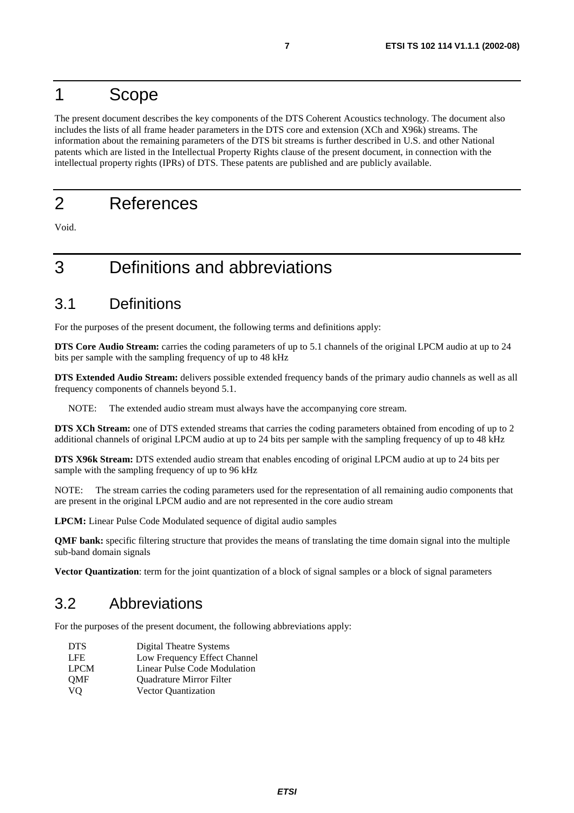### 1 Scope

The present document describes the key components of the DTS Coherent Acoustics technology. The document also includes the lists of all frame header parameters in the DTS core and extension (XCh and X96k) streams. The information about the remaining parameters of the DTS bit streams is further described in U.S. and other National patents which are listed in the Intellectual Property Rights clause of the present document, in connection with the intellectual property rights (IPRs) of DTS. These patents are published and are publicly available.

### 2 References

Void.

### 3 Definitions and abbreviations

### 3.1 Definitions

For the purposes of the present document, the following terms and definitions apply:

**DTS Core Audio Stream:** carries the coding parameters of up to 5.1 channels of the original LPCM audio at up to 24 bits per sample with the sampling frequency of up to 48 kHz

**DTS Extended Audio Stream:** delivers possible extended frequency bands of the primary audio channels as well as all frequency components of channels beyond 5.1.

NOTE: The extended audio stream must always have the accompanying core stream.

**DTS XCh Stream:** one of DTS extended streams that carries the coding parameters obtained from encoding of up to 2 additional channels of original LPCM audio at up to 24 bits per sample with the sampling frequency of up to 48 kHz

**DTS X96k Stream:** DTS extended audio stream that enables encoding of original LPCM audio at up to 24 bits per sample with the sampling frequency of up to 96 kHz

NOTE: The stream carries the coding parameters used for the representation of all remaining audio components that are present in the original LPCM audio and are not represented in the core audio stream

**LPCM:** Linear Pulse Code Modulated sequence of digital audio samples

**QMF bank:** specific filtering structure that provides the means of translating the time domain signal into the multiple sub-band domain signals

**Vector Quantization**: term for the joint quantization of a block of signal samples or a block of signal parameters

### 3.2 Abbreviations

For the purposes of the present document, the following abbreviations apply:

- DTS Digital Theatre Systems
- LFE Low Frequency Effect Channel
- LPCM Linear Pulse Code Modulation
- QMF Quadrature Mirror Filter
- VQ Vector Quantization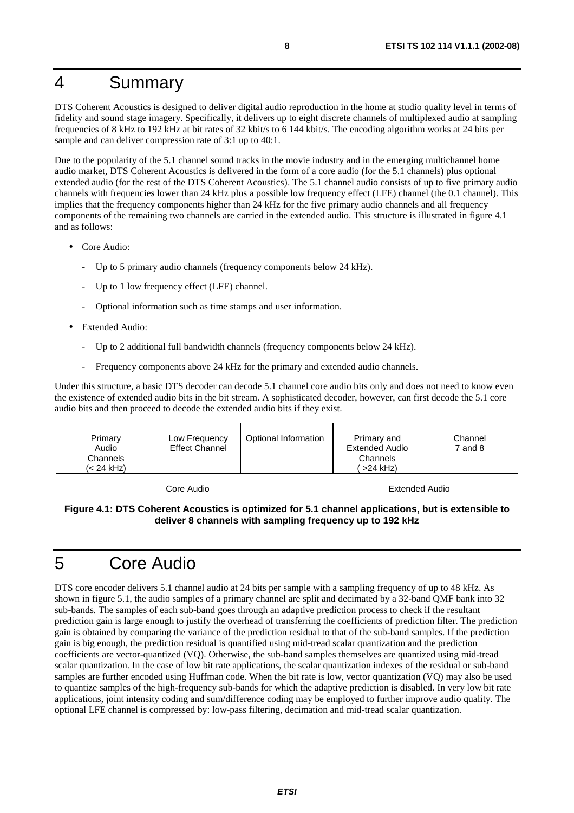### 4 Summary

DTS Coherent Acoustics is designed to deliver digital audio reproduction in the home at studio quality level in terms of fidelity and sound stage imagery. Specifically, it delivers up to eight discrete channels of multiplexed audio at sampling frequencies of 8 kHz to 192 kHz at bit rates of 32 kbit/s to 6 144 kbit/s. The encoding algorithm works at 24 bits per sample and can deliver compression rate of 3:1 up to 40:1.

Due to the popularity of the 5.1 channel sound tracks in the movie industry and in the emerging multichannel home audio market, DTS Coherent Acoustics is delivered in the form of a core audio (for the 5.1 channels) plus optional extended audio (for the rest of the DTS Coherent Acoustics). The 5.1 channel audio consists of up to five primary audio channels with frequencies lower than 24 kHz plus a possible low frequency effect (LFE) channel (the 0.1 channel). This implies that the frequency components higher than 24 kHz for the five primary audio channels and all frequency components of the remaining two channels are carried in the extended audio. This structure is illustrated in figure 4.1 and as follows:

- Core Audio:
	- Up to 5 primary audio channels (frequency components below 24 kHz).
	- Up to 1 low frequency effect (LFE) channel.
	- Optional information such as time stamps and user information.
- **Extended Audio:** 
	- Up to 2 additional full bandwidth channels (frequency components below 24 kHz).
	- Frequency components above 24 kHz for the primary and extended audio channels.

Under this structure, a basic DTS decoder can decode 5.1 channel core audio bits only and does not need to know even the existence of extended audio bits in the bit stream. A sophisticated decoder, however, can first decode the 5.1 core audio bits and then proceed to decode the extended audio bits if they exist.

| Optional Information<br>Primary<br>Low Frequency<br><b>Effect Channel</b><br>Audio<br>Channels<br>(< 24 kHz) | Primary and<br>Extended Audio<br>Channels<br>$>24$ kHz) | Channel<br>7 and 8 |
|--------------------------------------------------------------------------------------------------------------|---------------------------------------------------------|--------------------|
|--------------------------------------------------------------------------------------------------------------|---------------------------------------------------------|--------------------|

Core Audio Extended Audio

#### **Figure 4.1: DTS Coherent Acoustics is optimized for 5.1 channel applications, but is extensible to deliver 8 channels with sampling frequency up to 192 kHz**

### 5 Core Audio

DTS core encoder delivers 5.1 channel audio at 24 bits per sample with a sampling frequency of up to 48 kHz. As shown in figure 5.1, the audio samples of a primary channel are split and decimated by a 32-band QMF bank into 32 sub-bands. The samples of each sub-band goes through an adaptive prediction process to check if the resultant prediction gain is large enough to justify the overhead of transferring the coefficients of prediction filter. The prediction gain is obtained by comparing the variance of the prediction residual to that of the sub-band samples. If the prediction gain is big enough, the prediction residual is quantified using mid-tread scalar quantization and the prediction coefficients are vector-quantized (VQ). Otherwise, the sub-band samples themselves are quantized using mid-tread scalar quantization. In the case of low bit rate applications, the scalar quantization indexes of the residual or sub-band samples are further encoded using Huffman code. When the bit rate is low, vector quantization (VQ) may also be used to quantize samples of the high-frequency sub-bands for which the adaptive prediction is disabled. In very low bit rate applications, joint intensity coding and sum/difference coding may be employed to further improve audio quality. The optional LFE channel is compressed by: low-pass filtering, decimation and mid-tread scalar quantization.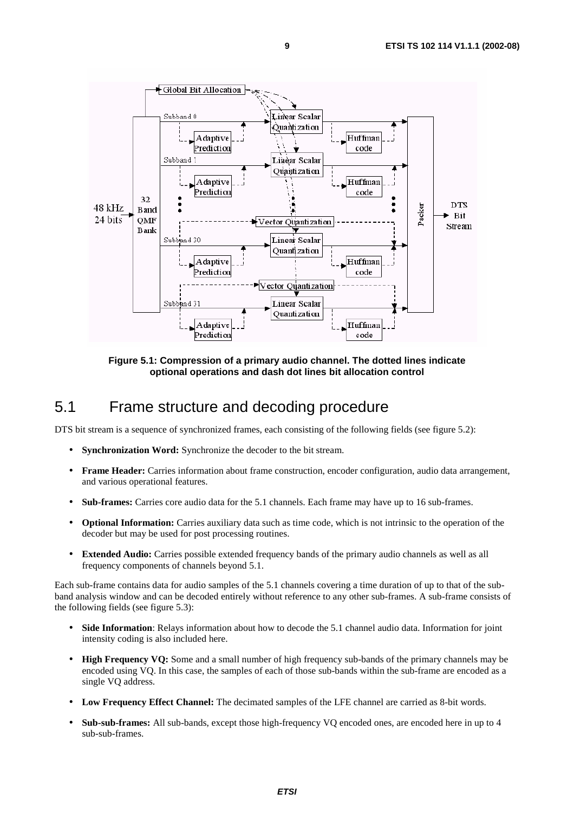

**Figure 5.1: Compression of a primary audio channel. The dotted lines indicate optional operations and dash dot lines bit allocation control** 

### 5.1 Frame structure and decoding procedure

DTS bit stream is a sequence of synchronized frames, each consisting of the following fields (see figure 5.2):

- **Synchronization Word:** Synchronize the decoder to the bit stream.
- **Frame Header:** Carries information about frame construction, encoder configuration, audio data arrangement, and various operational features.
- **Sub-frames:** Carries core audio data for the 5.1 channels. Each frame may have up to 16 sub-frames.
- **Optional Information:** Carries auxiliary data such as time code, which is not intrinsic to the operation of the decoder but may be used for post processing routines.
- **Extended Audio:** Carries possible extended frequency bands of the primary audio channels as well as all frequency components of channels beyond 5.1.

Each sub-frame contains data for audio samples of the 5.1 channels covering a time duration of up to that of the subband analysis window and can be decoded entirely without reference to any other sub-frames. A sub-frame consists of the following fields (see figure 5.3):

- **Side Information**: Relays information about how to decode the 5.1 channel audio data. Information for joint intensity coding is also included here.
- **High Frequency VQ:** Some and a small number of high frequency sub-bands of the primary channels may be encoded using VQ. In this case, the samples of each of those sub-bands within the sub-frame are encoded as a single VQ address.
- **Low Frequency Effect Channel:** The decimated samples of the LFE channel are carried as 8-bit words.
- **Sub-sub-frames:** All sub-bands, except those high-frequency VQ encoded ones, are encoded here in up to 4 sub-sub-frames.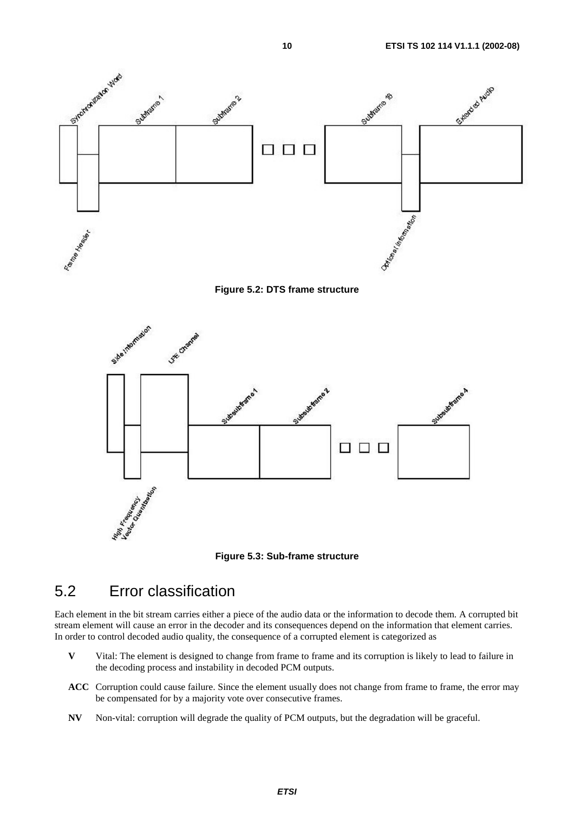![](_page_9_Figure_1.jpeg)

![](_page_9_Figure_2.jpeg)

![](_page_9_Figure_3.jpeg)

![](_page_9_Figure_4.jpeg)

### 5.2 Error classification

Each element in the bit stream carries either a piece of the audio data or the information to decode them. A corrupted bit stream element will cause an error in the decoder and its consequences depend on the information that element carries. In order to control decoded audio quality, the consequence of a corrupted element is categorized as

- **V** Vital: The element is designed to change from frame to frame and its corruption is likely to lead to failure in the decoding process and instability in decoded PCM outputs.
- **ACC** Corruption could cause failure. Since the element usually does not change from frame to frame, the error may be compensated for by a majority vote over consecutive frames.
- **NV** Non-vital: corruption will degrade the quality of PCM outputs, but the degradation will be graceful.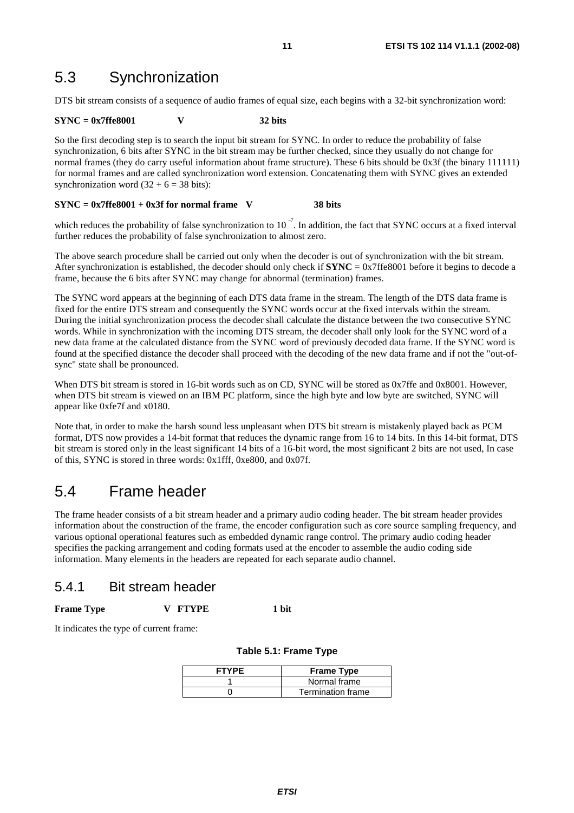### 5.3 Synchronization

DTS bit stream consists of a sequence of audio frames of equal size, each begins with a 32-bit synchronization word:

#### **SYNC = 0x7ffe8001 V 32 bits**

So the first decoding step is to search the input bit stream for SYNC. In order to reduce the probability of false synchronization, 6 bits after SYNC in the bit stream may be further checked, since they usually do not change for normal frames (they do carry useful information about frame structure). These 6 bits should be 0x3f (the binary 111111) for normal frames and are called synchronization word extension. Concatenating them with SYNC gives an extended synchronization word  $(32 + 6 = 38$  bits):

#### **SYNC = 0x7ffe8001 + 0x3f for normal frame V 38 bits**

which reduces the probability of false synchronization to  $10^{-7}$ . In addition, the fact that SYNC occurs at a fixed interval further reduces the probability of false synchronization to almost zero.

The above search procedure shall be carried out only when the decoder is out of synchronization with the bit stream. After synchronization is established, the decoder should only check if  $\text{SYNC} = 0x7$  fe8001 before it begins to decode a frame, because the 6 bits after SYNC may change for abnormal (termination) frames.

The SYNC word appears at the beginning of each DTS data frame in the stream. The length of the DTS data frame is fixed for the entire DTS stream and consequently the SYNC words occur at the fixed intervals within the stream. During the initial synchronization process the decoder shall calculate the distance between the two consecutive SYNC words. While in synchronization with the incoming DTS stream, the decoder shall only look for the SYNC word of a new data frame at the calculated distance from the SYNC word of previously decoded data frame. If the SYNC word is found at the specified distance the decoder shall proceed with the decoding of the new data frame and if not the "out-ofsync" state shall be pronounced.

When DTS bit stream is stored in 16-bit words such as on CD, SYNC will be stored as 0x7ffe and 0x8001. However, when DTS bit stream is viewed on an IBM PC platform, since the high byte and low byte are switched, SYNC will appear like 0xfe7f and x0180.

Note that, in order to make the harsh sound less unpleasant when DTS bit stream is mistakenly played back as PCM format, DTS now provides a 14-bit format that reduces the dynamic range from 16 to 14 bits. In this 14-bit format, DTS bit stream is stored only in the least significant 14 bits of a 16-bit word, the most significant 2 bits are not used, In case of this, SYNC is stored in three words: 0x1fff, 0xe800, and 0x07f.

### 5.4 Frame header

The frame header consists of a bit stream header and a primary audio coding header. The bit stream header provides information about the construction of the frame, the encoder configuration such as core source sampling frequency, and various optional operational features such as embedded dynamic range control. The primary audio coding header specifies the packing arrangement and coding formats used at the encoder to assemble the audio coding side information. Many elements in the headers are repeated for each separate audio channel.

### 5.4.1 Bit stream header

#### Frame Type **V** FTYPE 1 bit

It indicates the type of current frame:

| <b>FTYPE</b> | <b>Frame Type</b> |
|--------------|-------------------|
|              | Normal frame      |
|              | Termination frame |

#### **Table 5.1: Frame Type**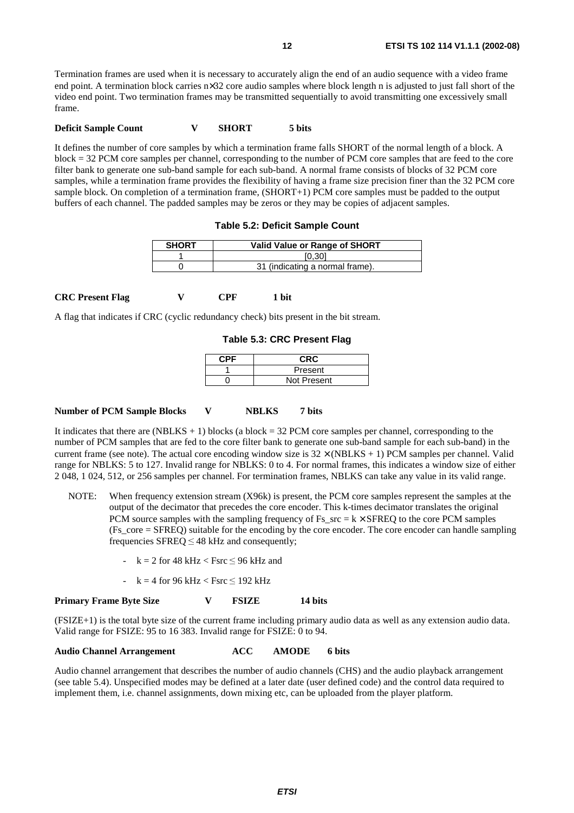Termination frames are used when it is necessary to accurately align the end of an audio sequence with a video frame end point. A termination block carries n×32 core audio samples where block length n is adjusted to just fall short of the video end point. Two termination frames may be transmitted sequentially to avoid transmitting one excessively small frame.

#### **Deficit Sample Count V SHORT** 5 bits

It defines the number of core samples by which a termination frame falls SHORT of the normal length of a block. A block = 32 PCM core samples per channel, corresponding to the number of PCM core samples that are feed to the core filter bank to generate one sub-band sample for each sub-band. A normal frame consists of blocks of 32 PCM core samples, while a termination frame provides the flexibility of having a frame size precision finer than the 32 PCM core sample block. On completion of a termination frame, (SHORT+1) PCM core samples must be padded to the output buffers of each channel. The padded samples may be zeros or they may be copies of adjacent samples.

**Table 5.2: Deficit Sample Count** 

| <b>SHORT</b> | Valid Value or Range of SHORT   |  |
|--------------|---------------------------------|--|
|              | [0, 30]                         |  |
|              | 31 (indicating a normal frame). |  |

**CRC Present Flag V CPF 1 bit** 

A flag that indicates if CRC (cyclic redundancy check) bits present in the bit stream.

**Table 5.3: CRC Present Flag** 

| CPF | <b>CRC</b>  |
|-----|-------------|
|     | Present     |
|     | Not Present |

Number of PCM Sample Blocks V NBLKS 7 bits

It indicates that there are (NBLKS + 1) blocks (a block =  $32$  PCM core samples per channel, corresponding to the number of PCM samples that are fed to the core filter bank to generate one sub-band sample for each sub-band) in the current frame (see note). The actual core encoding window size is  $32 \times (NBLKS + 1)$  PCM samples per channel. Valid range for NBLKS: 5 to 127. Invalid range for NBLKS: 0 to 4. For normal frames, this indicates a window size of either 2 048, 1 024, 512, or 256 samples per channel. For termination frames, NBLKS can take any value in its valid range.

- NOTE: When frequency extension stream (X96k) is present, the PCM core samples represent the samples at the output of the decimator that precedes the core encoder. This k-times decimator translates the original PCM source samples with the sampling frequency of  $Fs\_src = k \times SFREQ$  to the core PCM samples (Fs\_core = SFREQ) suitable for the encoding by the core encoder. The core encoder can handle sampling frequencies SFREQ  $\leq$  48 kHz and consequently;
	- $k = 2$  for 48 kHz  $\lt$  Fsrc  $\leq$  96 kHz and
	- k = 4 for 96 kHz  $\lt$  Fsrc  $\leq$  192 kHz

**Primary Frame Byte Size V FSIZE 14 bits** 

(FSIZE+1) is the total byte size of the current frame including primary audio data as well as any extension audio data. Valid range for FSIZE: 95 to 16 383. Invalid range for FSIZE: 0 to 94.

#### **Audio Channel Arrangement ACC AMODE 6 bits**

Audio channel arrangement that describes the number of audio channels (CHS) and the audio playback arrangement (see table 5.4). Unspecified modes may be defined at a later date (user defined code) and the control data required to implement them, i.e. channel assignments, down mixing etc, can be uploaded from the player platform.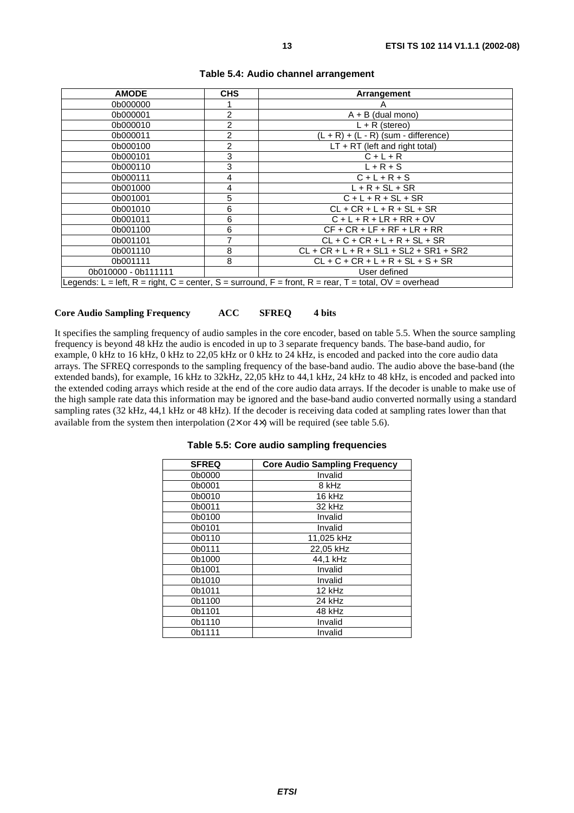| <b>AMODE</b>        | <b>CHS</b>     | Arrangement                                                                                           |  |  |
|---------------------|----------------|-------------------------------------------------------------------------------------------------------|--|--|
| 0b000000            |                | Α                                                                                                     |  |  |
| 0b000001            | $\overline{2}$ | $A + B$ (dual mono)                                                                                   |  |  |
| 0b000010            | 2              | $L + R$ (stereo)                                                                                      |  |  |
| 0b000011            | $\overline{2}$ | $(L + R) + (L - R)$ (sum - difference)                                                                |  |  |
| 0b000100            | $\overline{2}$ | $LT + RT$ (left and right total)                                                                      |  |  |
| 0b000101            | 3              | $C + L + R$                                                                                           |  |  |
| 0b000110            | 3              | $L + R + S$                                                                                           |  |  |
| 0b000111            | 4              | $C+L+R+S$                                                                                             |  |  |
| 0b001000            | 4              | $L + R + SL + SR$                                                                                     |  |  |
| 0b001001            | 5              | $C + L + R + SL + SR$                                                                                 |  |  |
| 0b001010            | 6              | $CL + CR + L + R + SL + SR$                                                                           |  |  |
| 0b001011            | 6              | $C + L + R + LR + RR + OV$                                                                            |  |  |
| 0b001100            | 6              | $CF + CR + LF + RF + LR + RR$                                                                         |  |  |
| 0b001101            |                | $CL + C + CR + L + R + SL + SR$                                                                       |  |  |
| 0b001110            | 8              | $CL + CR + L + R + SL1 + SL2 + SR1 + SR2$                                                             |  |  |
| 0b001111            | 8              | $CL + C + CR + L + R + SL + S + SR$                                                                   |  |  |
| 0b010000 - 0b111111 |                | User defined                                                                                          |  |  |
|                     |                | Legends: L = left, R = right, C = center, S = surround, F = front, R = rear, T = total, OV = overhead |  |  |

# **Core Audio Sampling Frequency ACC SFREQ 4 bits**

It specifies the sampling frequency of audio samples in the core encoder, based on table 5.5. When the source sampling frequency is beyond 48 kHz the audio is encoded in up to 3 separate frequency bands. The base-band audio, for example, 0 kHz to 16 kHz, 0 kHz to 22,05 kHz or 0 kHz to 24 kHz, is encoded and packed into the core audio data arrays. The SFREQ corresponds to the sampling frequency of the base-band audio. The audio above the base-band (the extended bands), for example, 16 kHz to 32kHz, 22,05 kHz to 44,1 kHz, 24 kHz to 48 kHz, is encoded and packed into the extended coding arrays which reside at the end of the core audio data arrays. If the decoder is unable to make use of the high sample rate data this information may be ignored and the base-band audio converted normally using a standard sampling rates (32 kHz, 44,1 kHz or 48 kHz). If the decoder is receiving data coded at sampling rates lower than that available from the system then interpolation  $(2 \times$  or  $4 \times)$  will be required (see table 5.6).

| <b>SFREQ</b> | <b>Core Audio Sampling Frequency</b> |
|--------------|--------------------------------------|
| 0b0000       | Invalid                              |
| 0b0001       | 8 kHz                                |
| 0b0010       | 16 kHz                               |
| 0b0011       | 32 kHz                               |
| 0b0100       | Invalid                              |
| 0b0101       | Invalid                              |
| 0b0110       | 11,025 kHz                           |
| 0b0111       | 22.05 kHz                            |
| 0b1000       | 44,1 kHz                             |
| 0b1001       | Invalid                              |
| 0b1010       | Invalid                              |
| 0b1011       | 12 kHz                               |
| 0b1100       | 24 kHz                               |
| 0b1101       | 48 kHz                               |
| 0b1110       | Invalid                              |
| 0b1111       | Invalid                              |

#### **Table 5.5: Core audio sampling frequencies**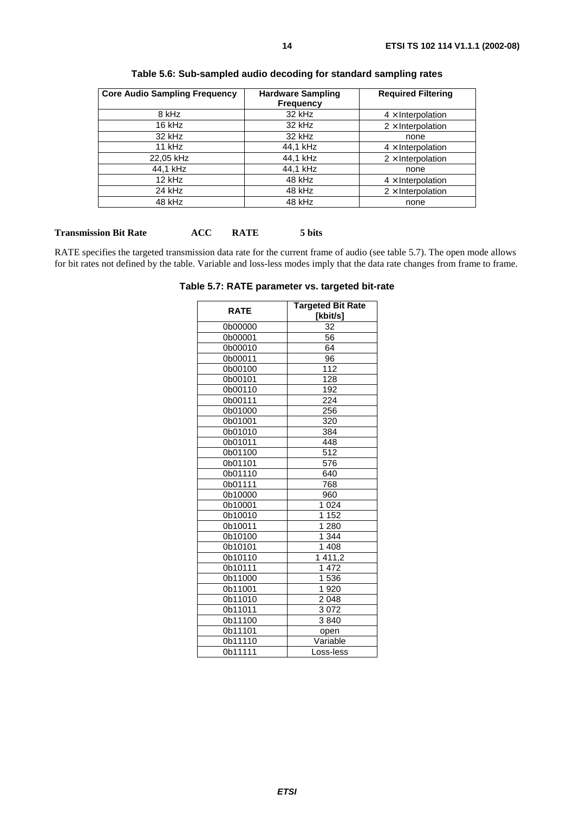| <b>Core Audio Sampling Frequency</b> | <b>Hardware Sampling</b><br><b>Frequency</b> | <b>Required Filtering</b> |
|--------------------------------------|----------------------------------------------|---------------------------|
| 8 kHz                                | 32 kHz                                       | $4 \times$ Interpolation  |
| 16 kHz                               | 32 kHz                                       | $2 \times$ Interpolation  |
| 32 kHz                               | 32 kHz                                       | none                      |
| 11 kHz                               | 44,1 kHz                                     | $4 \times$ Interpolation  |
| 22,05 kHz                            | 44,1 kHz                                     | $2 \times$ Interpolation  |
| 44,1 kHz                             | 44,1 kHz                                     | none                      |
| 12 kHz                               | 48 kHz                                       | $4 \times$ Interpolation  |
| 24 kHz                               | 48 kHz                                       | $2 \times$ Interpolation  |
| 48 kHz                               | 48 kHz                                       | none                      |

**Table 5.6: Sub-sampled audio decoding for standard sampling rates** 

#### **Transmission Bit Rate ACC RATE 5 bits**

RATE specifies the targeted transmission data rate for the current frame of audio (see table 5.7). The open mode allows for bit rates not defined by the table. Variable and loss-less modes imply that the data rate changes from frame to frame.

**Table 5.7: RATE parameter vs. targeted bit-rate**

| <b>RATE</b>    | <b>Targeted Bit Rate</b> |
|----------------|--------------------------|
|                | [kbit/s]                 |
| 0b00000        | 32                       |
| 0b00001        | $\overline{56}$          |
| 0b00010        | 64                       |
| 0b00011        | 96                       |
| 0b00100        | 112                      |
| 0b00101        | 128                      |
| 0b00110        | 192                      |
| 0b00111        | 224                      |
| 0b01000        | 256                      |
| 0b01001        | 320                      |
| 0b01010        | 384                      |
| 0b01011        | 448                      |
| 0b01100        | 512                      |
| 0b01101        | 576                      |
| 0b01110<br>640 |                          |
| 0b01111        | 768                      |
| 0b10000        | 960                      |
| 0b10001        | 1 0 2 4                  |
| 0b10010        | 1 152                    |
| 0b10011        | 1 2 8 0                  |
| 0b10100        | 1 344                    |
| 0b10101        | $\overline{1}$ 408       |
| 0b10110        | 1411,2                   |
| 0b10111        | 1472                     |
| 0b11000        | 1536                     |
| 0b11001        | 1920                     |
| 0b11010        | 2048                     |
| 0b11011        | 3072                     |
| 0b11100        | 3840                     |
| 0b11101        | open                     |
| 0b11110        | Variable                 |
| 0b11111        | Loss-less                |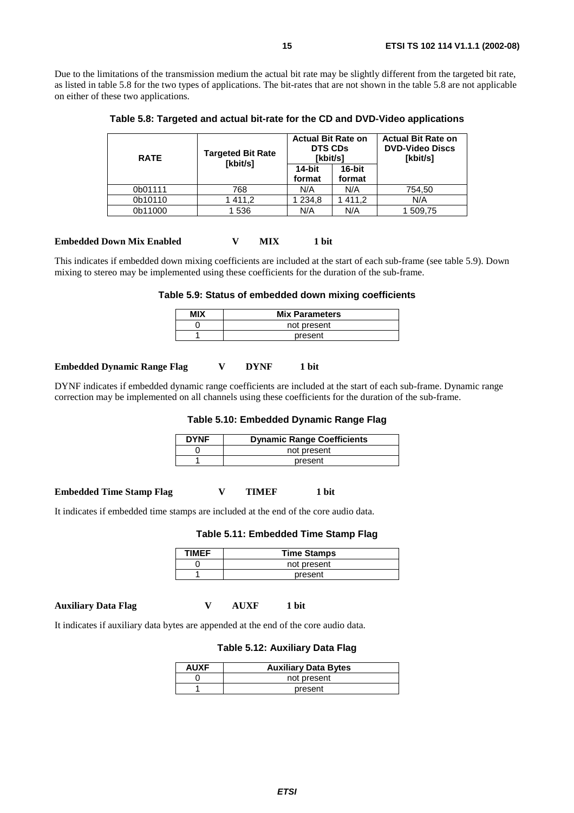Due to the limitations of the transmission medium the actual bit rate may be slightly different from the targeted bit rate, as listed in table 5.8 for the two types of applications. The bit-rates that are not shown in the table 5.8 are not applicable on either of these two applications.

**Table 5.8: Targeted and actual bit-rate for the CD and DVD-Video applications** 

| <b>RATE</b> | <b>Targeted Bit Rate</b><br>[kbit/s] | <b>Actual Bit Rate on</b><br><b>DTS CDs</b><br>[kbit/s] |                  | <b>Actual Bit Rate on</b><br><b>DVD-Video Discs</b><br>[kbit/s] |
|-------------|--------------------------------------|---------------------------------------------------------|------------------|-----------------------------------------------------------------|
|             |                                      | 14-bit<br>format                                        | 16-bit<br>format |                                                                 |
| 0b01111     | 768                                  | N/A                                                     | N/A              | 754,50                                                          |
| 0b10110     | 1411,2                               | 234,8                                                   | 411,2            | N/A                                                             |
| 0b11000     | 1 536                                | N/A                                                     | N/A              | 1 509,75                                                        |

#### **Embedded Down Mix Enabled**  $V$  **MIX 1 bit**

This indicates if embedded down mixing coefficients are included at the start of each sub-frame (see table 5.9). Down mixing to stereo may be implemented using these coefficients for the duration of the sub-frame.

#### **Table 5.9: Status of embedded down mixing coefficients**

| MIX | <b>Mix Parameters</b> |
|-----|-----------------------|
|     | not present           |
|     | present               |

#### **Embedded Dynamic Range Flag V DYNF 1 bit**

DYNF indicates if embedded dynamic range coefficients are included at the start of each sub-frame. Dynamic range correction may be implemented on all channels using these coefficients for the duration of the sub-frame.

#### **Table 5.10: Embedded Dynamic Range Flag**

| <b>DYNF</b> | <b>Dynamic Range Coefficients</b> |
|-------------|-----------------------------------|
|             | not present                       |
|             | present                           |

**Embedded Time Stamp Flag**  $V$  **TIMEF 1 bit** 

It indicates if embedded time stamps are included at the end of the core audio data.

#### **Table 5.11: Embedded Time Stamp Flag**

| <b>TIMFF</b> | <b>Time Stamps</b> |
|--------------|--------------------|
|              | not present        |
|              | present            |

**Auxiliary Data Flag V AUXF 1 bit** 

It indicates if auxiliary data bytes are appended at the end of the core audio data.

#### **Table 5.12: Auxiliary Data Flag**

| <b>AUXF</b> | <b>Auxiliary Data Bytes</b> |
|-------------|-----------------------------|
|             | not present                 |
|             | present                     |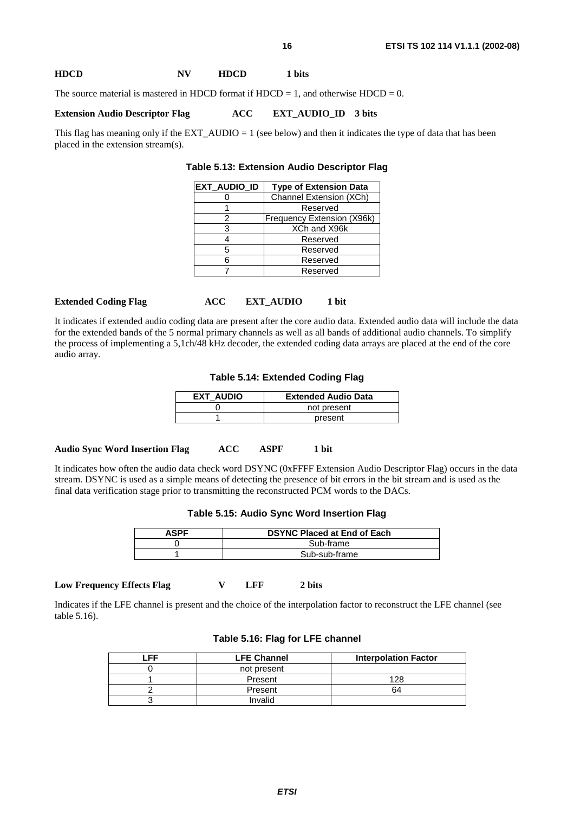#### **HDCD NV HDCD 1 bits**

The source material is mastered in HDCD format if HDCD = 1, and otherwise HDCD = 0.

#### **Extension Audio Descriptor Flag ACC EXT\_AUDIO\_ID 3 bits**

This flag has meaning only if the EXT\_AUDIO = 1 (see below) and then it indicates the type of data that has been placed in the extension stream(s).

| Table 5.13: Extension Audio Descriptor Flag |  |  |  |
|---------------------------------------------|--|--|--|
|---------------------------------------------|--|--|--|

| <b>EXT_AUDIO_ID</b> | <b>Type of Extension Data</b> |
|---------------------|-------------------------------|
|                     | Channel Extension (XCh)       |
|                     | Reserved                      |
| 2                   | Frequency Extension (X96k)    |
| з                   | XCh and X96k                  |
|                     | Reserved                      |
| 5                   | Reserved                      |
|                     | Reserved                      |
|                     | Reserved                      |
|                     |                               |

#### **Extended Coding Flag ACC EXT\_AUDIO 1 bit**

It indicates if extended audio coding data are present after the core audio data. Extended audio data will include the data for the extended bands of the 5 normal primary channels as well as all bands of additional audio channels. To simplify the process of implementing a 5,1ch/48 kHz decoder, the extended coding data arrays are placed at the end of the core audio array.

**Table 5.14: Extended Coding Flag**

| EXT AUDIO | <b>Extended Audio Data</b> |
|-----------|----------------------------|
|           | not present                |
|           | present                    |

#### **Audio Sync Word Insertion Flag ACC ASPF 1 bit**

It indicates how often the audio data check word DSYNC (0xFFFF Extension Audio Descriptor Flag) occurs in the data stream. DSYNC is used as a simple means of detecting the presence of bit errors in the bit stream and is used as the final data verification stage prior to transmitting the reconstructed PCM words to the DACs.

| <b>ASPF</b> | <b>DSYNC Placed at End of Each</b> |  |
|-------------|------------------------------------|--|
|             | Sub-frame                          |  |
|             | Sub-sub-frame                      |  |

#### **Low Frequency Effects Flag V LFF 2 bits**

Indicates if the LFE channel is present and the choice of the interpolation factor to reconstruct the LFE channel (see table 5.16).

| Table 5.16: Flag for LFE channel |                  |
|----------------------------------|------------------|
| <b>LEE ALAMAN</b>                | والمسمع والمحالف |

| ᄄ | <b>LFE Channel</b> | <b>Interpolation Factor</b> |
|---|--------------------|-----------------------------|
|   | not present        |                             |
|   | Present            | 128                         |
|   | Present            | 64                          |
|   | Invalid            |                             |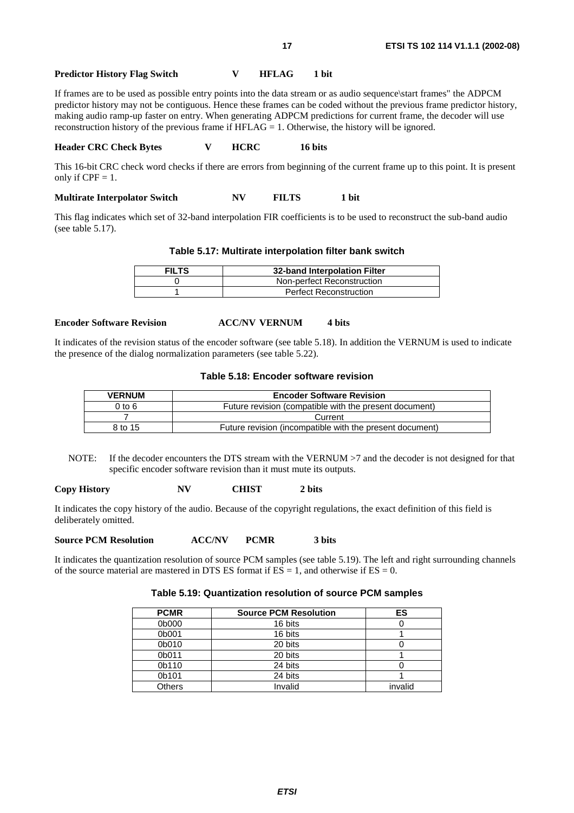#### **Predictor History Flag Switch V HFLAG 1 bit**

If frames are to be used as possible entry points into the data stream or as audio sequence\start frames" the ADPCM predictor history may not be contiguous. Hence these frames can be coded without the previous frame predictor history, making audio ramp-up faster on entry. When generating ADPCM predictions for current frame, the decoder will use reconstruction history of the previous frame if HFLAG = 1. Otherwise, the history will be ignored.

#### **Header CRC Check Bytes V HCRC 16 bits**

This 16-bit CRC check word checks if there are errors from beginning of the current frame up to this point. It is present only if  $CPF = 1$ .

**Multirate Interpolator Switch NV FILTS 1 bit** 

This flag indicates which set of 32-band interpolation FIR coefficients is to be used to reconstruct the sub-band audio (see table 5.17).

#### **Table 5.17: Multirate interpolation filter bank switch**

| <b>FILTS</b> | 32-band Interpolation Filter  |  |
|--------------|-------------------------------|--|
|              | Non-perfect Reconstruction    |  |
|              | <b>Perfect Reconstruction</b> |  |

#### **Encoder Software Revision 4 Bits 4 ACC/NV VERNUM 4 bits**

It indicates of the revision status of the encoder software (see table 5.18). In addition the VERNUM is used to indicate the presence of the dialog normalization parameters (see table 5.22).

#### **Table 5.18: Encoder software revision**

| <b>VERNUM</b> | <b>Encoder Software Revision</b>                         |  |
|---------------|----------------------------------------------------------|--|
| $0$ to $6$    | Future revision (compatible with the present document)   |  |
|               | Current                                                  |  |
| 8 to 15       | Future revision (incompatible with the present document) |  |

NOTE: If the decoder encounters the DTS stream with the VERNUM  $>7$  and the decoder is not designed for that specific encoder software revision than it must mute its outputs.

#### **Copy History NV CHIST 2 bits**

It indicates the copy history of the audio. Because of the copyright regulations, the exact definition of this field is deliberately omitted.

**Source PCM Resolution ACC/NV PCMR 3 bits** 

It indicates the quantization resolution of source PCM samples (see table 5.19). The left and right surrounding channels of the source material are mastered in DTS ES format if  $ES = 1$ , and otherwise if  $ES = 0$ .

#### **Table 5.19: Quantization resolution of source PCM samples**

| <b>PCMR</b> | <b>Source PCM Resolution</b> | ES      |
|-------------|------------------------------|---------|
| 0b000       | 16 bits                      |         |
| 0b001       | 16 bits                      |         |
| 0b010       | 20 bits                      |         |
| 0b011       | 20 bits                      |         |
| 0b110       | 24 bits                      |         |
| 0b101       | 24 bits                      |         |
| Others      | Invalid                      | invalid |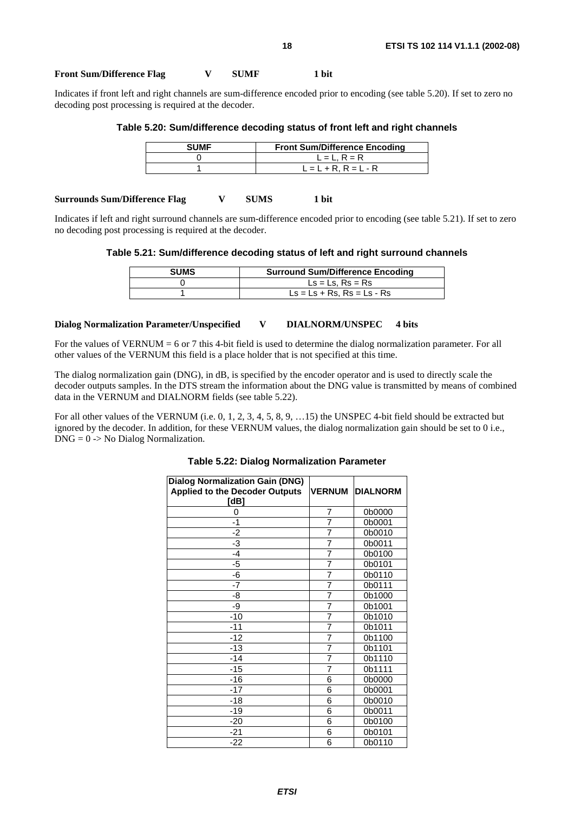#### Front Sum/Difference Flag  $V$  SUMF 1 bit

Indicates if front left and right channels are sum-difference encoded prior to encoding (see table 5.20). If set to zero no decoding post processing is required at the decoder.

#### **Table 5.20: Sum/difference decoding status of front left and right channels**

| <b>SUMF</b> | <b>Front Sum/Difference Encoding</b> |
|-------------|--------------------------------------|
|             | $L = L$ . $R = R$                    |
|             | $L = L + R$ , $R = L - R$            |
|             |                                      |

#### **Surrounds Sum/Difference Flag V SUMS 1 bit**

Indicates if left and right surround channels are sum-difference encoded prior to encoding (see table 5.21). If set to zero no decoding post processing is required at the decoder.

#### **Table 5.21: Sum/difference decoding status of left and right surround channels**

| <b>SUMS</b> | <b>Surround Sum/Difference Encoding</b>                                   |
|-------------|---------------------------------------------------------------------------|
|             | $\textsf{Ls} = \textsf{Ls}$ . Rs = Rs                                     |
|             | $\text{Ls} = \text{Ls} + \text{Rs}$ , $\text{Rs} = \text{Ls} - \text{Rs}$ |

#### **Dialog Normalization Parameter/Unspecified V DIALNORM/UNSPEC 4 bits**

For the values of VERNUM = 6 or 7 this 4-bit field is used to determine the dialog normalization parameter. For all other values of the VERNUM this field is a place holder that is not specified at this time.

The dialog normalization gain (DNG), in dB, is specified by the encoder operator and is used to directly scale the decoder outputs samples. In the DTS stream the information about the DNG value is transmitted by means of combined data in the VERNUM and DIALNORM fields (see table 5.22).

For all other values of the VERNUM (i.e. 0, 1, 2, 3, 4, 5, 8, 9, …15) the UNSPEC 4-bit field should be extracted but ignored by the decoder. In addition, for these VERNUM values, the dialog normalization gain should be set to 0 i.e., DNG = 0 -> No Dialog Normalization.

| <b>Dialog Normalization Gain (DNG)</b><br><b>Applied to the Decoder Outputs</b><br>[dB] | <b>VERNUM</b>  | <b>DIALNORM</b> |
|-----------------------------------------------------------------------------------------|----------------|-----------------|
| 0                                                                                       | 7              | 0b0000          |
| $-1$                                                                                    | 7              | 0b0001          |
| $-2$                                                                                    | $\overline{7}$ | 0b0010          |
| $-3$                                                                                    | $\overline{7}$ | 0b0011          |
| $-4$                                                                                    | $\overline{7}$ | 0b0100          |
| -5                                                                                      | $\overline{7}$ | 0b0101          |
| $-\overline{6}$                                                                         | $\overline{7}$ | 0b0110          |
| $-7$                                                                                    | $\overline{7}$ | 0b0111          |
| -8                                                                                      | $\overline{7}$ | 0b1000          |
| -9                                                                                      | $\overline{7}$ | 0b1001          |
| $-10$                                                                                   | $\overline{7}$ | 0b1010          |
| $-11$                                                                                   | $\overline{7}$ | 0b1011          |
| $-12$                                                                                   | $\overline{7}$ | 0b1100          |
| $-13$                                                                                   | $\overline{7}$ | 0b1101          |
| $-14$                                                                                   | 7              | 0b1110          |
| $-15$                                                                                   | $\overline{7}$ | 0b1111          |
| $-16$                                                                                   | 6              | 0b0000          |
| $-17$                                                                                   | 6              | 0b0001          |
| $-18$                                                                                   | 6              | 0b0010          |
| $-19$                                                                                   | 6              | 0b0011          |
| $-20$                                                                                   | 6              | 0b0100          |
| $-21$                                                                                   | 6              | 0b0101          |
| $-22$                                                                                   | 6              | 0b0110          |

#### **Table 5.22: Dialog Normalization Parameter**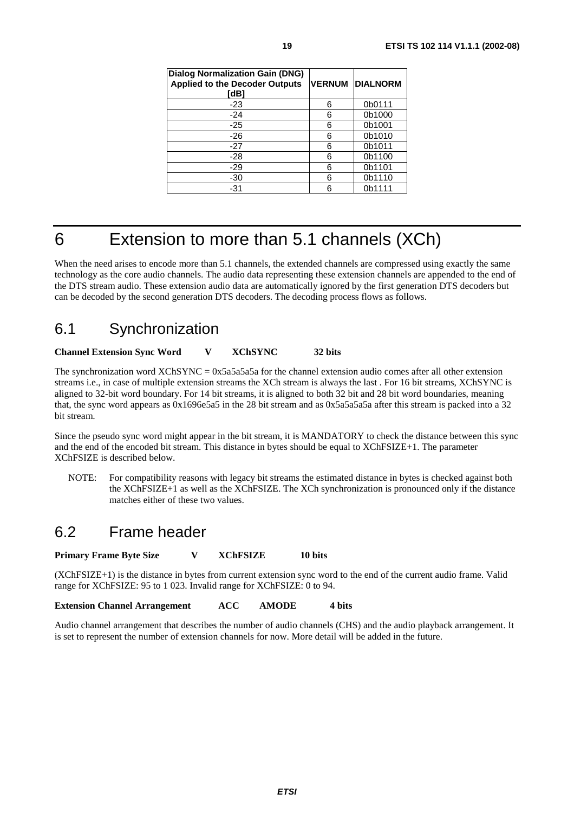| <b>Dialog Normalization Gain (DNG)</b><br><b>Applied to the Decoder Outputs</b><br>[dB] | <b>VERNUM</b> | <b>DIALNORM</b> |
|-----------------------------------------------------------------------------------------|---------------|-----------------|
| $-23$                                                                                   | 6             | 0b0111          |
| $-24$                                                                                   | 6             | 0b1000          |
| $-25$                                                                                   | 6             | 0b1001          |
| $-26$                                                                                   | 6             | 0b1010          |
| $-27$                                                                                   | 6             | 0b1011          |
| -28                                                                                     | 6             | 0b1100          |
| -29                                                                                     | 6             | 0b1101          |
| -30                                                                                     | 6             | 0b1110          |
| $-31$                                                                                   | 6             | 0b1111          |

### 6 Extension to more than 5.1 channels (XCh)

When the need arises to encode more than 5.1 channels, the extended channels are compressed using exactly the same technology as the core audio channels. The audio data representing these extension channels are appended to the end of the DTS stream audio. These extension audio data are automatically ignored by the first generation DTS decoders but can be decoded by the second generation DTS decoders. The decoding process flows as follows.

### 6.1 Synchronization

#### **Channel Extension Sync Word V XChSYNC 32 bits**

The synchronization word XChSYNC = 0x5a5a5a5a for the channel extension audio comes after all other extension streams i.e., in case of multiple extension streams the XCh stream is always the last . For 16 bit streams, XChSYNC is aligned to 32-bit word boundary. For 14 bit streams, it is aligned to both 32 bit and 28 bit word boundaries, meaning that, the sync word appears as  $0x1696e5a5$  in the 28 bit stream and as  $0x5a5a5a5a$  after this stream is packed into a 32 bit stream.

Since the pseudo sync word might appear in the bit stream, it is MANDATORY to check the distance between this sync and the end of the encoded bit stream. This distance in bytes should be equal to XChFSIZE+1. The parameter XChFSIZE is described below.

NOTE: For compatibility reasons with legacy bit streams the estimated distance in bytes is checked against both the XChFSIZE+1 as well as the XChFSIZE. The XCh synchronization is pronounced only if the distance matches either of these two values.

### 6.2 Frame header

**Primary Frame Byte Size V XChFSIZE 10 bits** 

(XChFSIZE+1) is the distance in bytes from current extension sync word to the end of the current audio frame. Valid range for XChFSIZE: 95 to 1 023. Invalid range for XChFSIZE: 0 to 94.

**Extension Channel Arrangement ACC AMODE 4 bits** 

Audio channel arrangement that describes the number of audio channels (CHS) and the audio playback arrangement. It is set to represent the number of extension channels for now. More detail will be added in the future.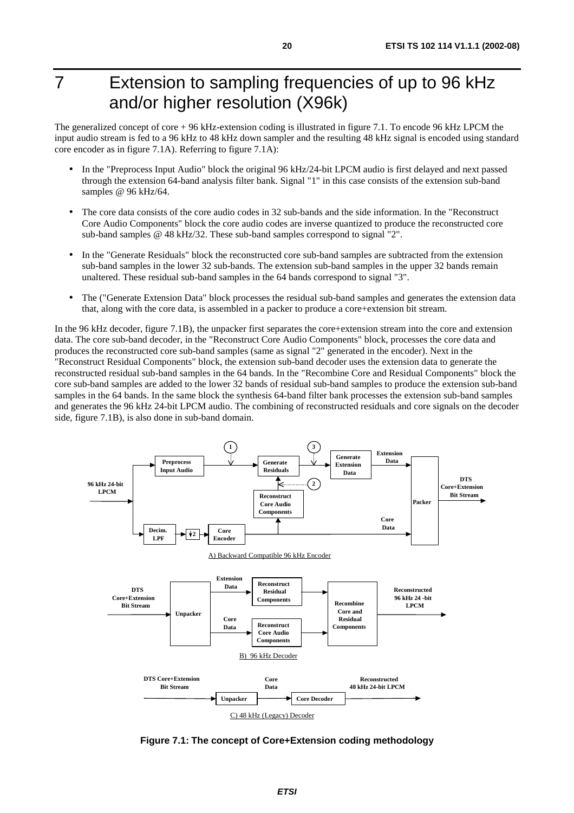## 7 Extension to sampling frequencies of up to 96 kHz and/or higher resolution (X96k)

The generalized concept of core + 96 kHz-extension coding is illustrated in figure 7.1. To encode 96 kHz LPCM the input audio stream is fed to a 96 kHz to 48 kHz down sampler and the resulting 48 kHz signal is encoded using standard core encoder as in figure 7.1A). Referring to figure 7.1A):

- In the "Preprocess Input Audio" block the original 96 kHz/24-bit LPCM audio is first delayed and next passed through the extension 64-band analysis filter bank. Signal "1" in this case consists of the extension sub-band samples @ 96 kHz/64.
- The core data consists of the core audio codes in 32 sub-bands and the side information. In the "Reconstruct Core Audio Components" block the core audio codes are inverse quantized to produce the reconstructed core sub-band samples @ 48 kHz/32. These sub-band samples correspond to signal "2".
- In the "Generate Residuals" block the reconstructed core sub-band samples are subtracted from the extension sub-band samples in the lower 32 sub-bands. The extension sub-band samples in the upper 32 bands remain unaltered. These residual sub-band samples in the 64 bands correspond to signal "3".
- The ("Generate Extension Data" block processes the residual sub-band samples and generates the extension data that, along with the core data, is assembled in a packer to produce a core+extension bit stream.

In the 96 kHz decoder, figure 7.1B), the unpacker first separates the core+extension stream into the core and extension data. The core sub-band decoder, in the "Reconstruct Core Audio Components" block, processes the core data and produces the reconstructed core sub-band samples (same as signal "2" generated in the encoder). Next in the "Reconstruct Residual Components" block, the extension sub-band decoder uses the extension data to generate the reconstructed residual sub-band samples in the 64 bands. In the "Recombine Core and Residual Components" block the core sub-band samples are added to the lower 32 bands of residual sub-band samples to produce the extension sub-band samples in the 64 bands. In the same block the synthesis 64-band filter bank processes the extension sub-band samples and generates the 96 kHz 24-bit LPCM audio. The combining of reconstructed residuals and core signals on the decoder side, figure 7.1B), is also done in sub-band domain.

![](_page_19_Figure_8.jpeg)

**Figure 7.1: The concept of Core+Extension coding methodology**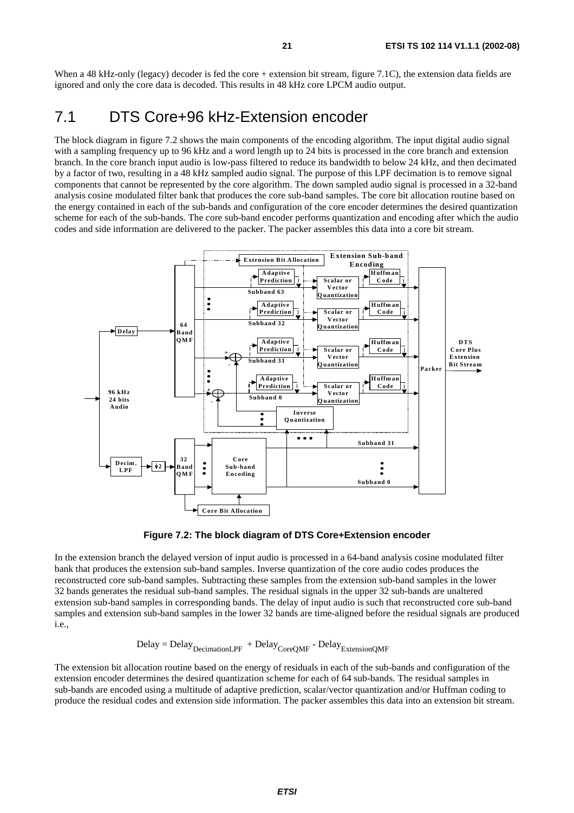When a 48 kHz-only (legacy) decoder is fed the core + extension bit stream, figure 7.1C), the extension data fields are ignored and only the core data is decoded. This results in 48 kHz core LPCM audio output.

### 7.1 DTS Core+96 kHz-Extension encoder

The block diagram in figure 7.2 shows the main components of the encoding algorithm. The input digital audio signal with a sampling frequency up to 96 kHz and a word length up to 24 bits is processed in the core branch and extension branch. In the core branch input audio is low-pass filtered to reduce its bandwidth to below 24 kHz, and then decimated by a factor of two, resulting in a 48 kHz sampled audio signal. The purpose of this LPF decimation is to remove signal components that cannot be represented by the core algorithm. The down sampled audio signal is processed in a 32-band analysis cosine modulated filter bank that produces the core sub-band samples. The core bit allocation routine based on the energy contained in each of the sub-bands and configuration of the core encoder determines the desired quantization scheme for each of the sub-bands. The core sub-band encoder performs quantization and encoding after which the audio codes and side information are delivered to the packer. The packer assembles this data into a core bit stream.

![](_page_20_Figure_4.jpeg)

**Figure 7.2: The block diagram of DTS Core+Extension encoder** 

In the extension branch the delayed version of input audio is processed in a 64-band analysis cosine modulated filter bank that produces the extension sub-band samples. Inverse quantization of the core audio codes produces the reconstructed core sub-band samples. Subtracting these samples from the extension sub-band samples in the lower 32 bands generates the residual sub-band samples. The residual signals in the upper 32 sub-bands are unaltered extension sub-band samples in corresponding bands. The delay of input audio is such that reconstructed core sub-band samples and extension sub-band samples in the lower 32 bands are time-aligned before the residual signals are produced i.e.,

$$
Delay = Delay_{DecimationLPF} + Delay_{CoreQMF} - Delay_{ExtensionQMF}
$$

The extension bit allocation routine based on the energy of residuals in each of the sub-bands and configuration of the extension encoder determines the desired quantization scheme for each of 64 sub-bands. The residual samples in sub-bands are encoded using a multitude of adaptive prediction, scalar/vector quantization and/or Huffman coding to produce the residual codes and extension side information. The packer assembles this data into an extension bit stream.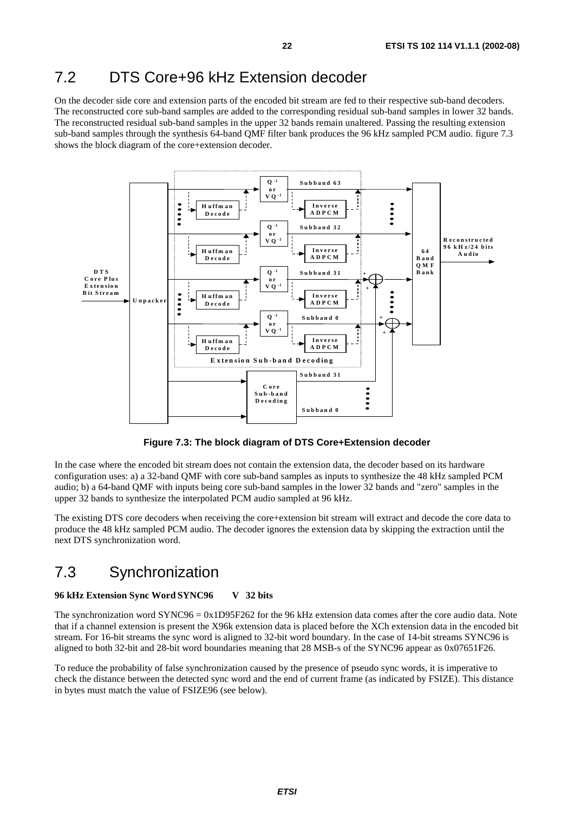### 7.2 DTS Core+96 kHz Extension decoder

On the decoder side core and extension parts of the encoded bit stream are fed to their respective sub-band decoders. The reconstructed core sub-band samples are added to the corresponding residual sub-band samples in lower 32 bands. The reconstructed residual sub-band samples in the upper 32 bands remain unaltered. Passing the resulting extension sub-band samples through the synthesis 64-band QMF filter bank produces the 96 kHz sampled PCM audio. figure 7.3 shows the block diagram of the core+extension decoder.

![](_page_21_Figure_3.jpeg)

**Figure 7.3: The block diagram of DTS Core+Extension decoder** 

In the case where the encoded bit stream does not contain the extension data, the decoder based on its hardware configuration uses: a) a 32-band QMF with core sub-band samples as inputs to synthesize the 48 kHz sampled PCM audio; b) a 64-band QMF with inputs being core sub-band samples in the lower 32 bands and "zero" samples in the upper 32 bands to synthesize the interpolated PCM audio sampled at 96 kHz.

The existing DTS core decoders when receiving the core+extension bit stream will extract and decode the core data to produce the 48 kHz sampled PCM audio. The decoder ignores the extension data by skipping the extraction until the next DTS synchronization word.

### 7.3 Synchronization

#### **96 kHz Extension Sync Word SYNC96 V 32 bits**

The synchronization word SYNC96 = 0x1D95F262 for the 96 kHz extension data comes after the core audio data. Note that if a channel extension is present the X96k extension data is placed before the XCh extension data in the encoded bit stream. For 16-bit streams the sync word is aligned to 32-bit word boundary. In the case of 14-bit streams SYNC96 is aligned to both 32-bit and 28-bit word boundaries meaning that 28 MSB-s of the SYNC96 appear as 0x07651F26.

To reduce the probability of false synchronization caused by the presence of pseudo sync words, it is imperative to check the distance between the detected sync word and the end of current frame (as indicated by FSIZE). This distance in bytes must match the value of FSIZE96 (see below).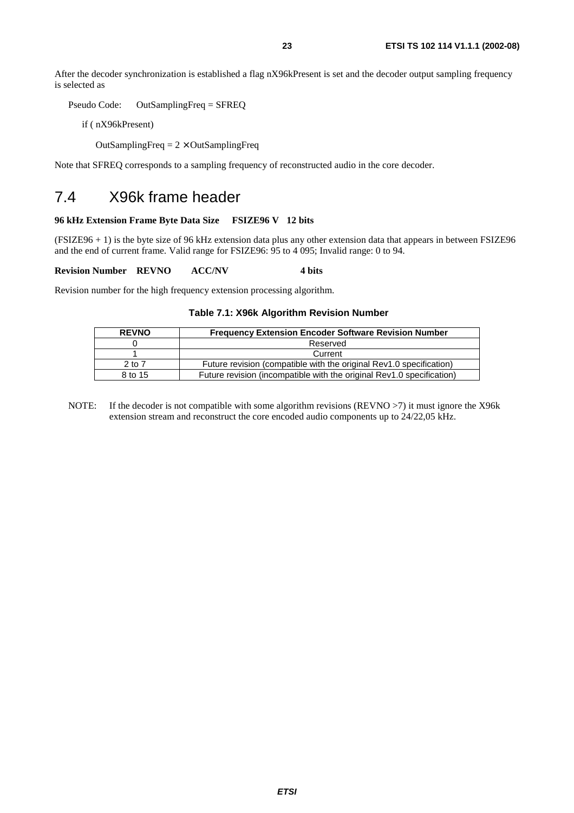After the decoder synchronization is established a flag nX96kPresent is set and the decoder output sampling frequency is selected as

Pseudo Code: OutSamplingFreq = SFREQ

if ( nX96kPresent)

OutSamplingFreq  $= 2 \times$  OutSamplingFreq

Note that SFREQ corresponds to a sampling frequency of reconstructed audio in the core decoder.

### 7.4 X96k frame header

#### **96 kHz Extension Frame Byte Data Size FSIZE96 V 12 bits**

(FSIZE96 + 1) is the byte size of 96 kHz extension data plus any other extension data that appears in between FSIZE96 and the end of current frame. Valid range for FSIZE96: 95 to 4 095; Invalid range: 0 to 94.

**Revision Number REVNO ACC/NV 4 bits** 

Revision number for the high frequency extension processing algorithm.

#### **Table 7.1: X96k Algorithm Revision Number**

| <b>REVNO</b> | <b>Frequency Extension Encoder Software Revision Number</b>           |
|--------------|-----------------------------------------------------------------------|
|              | Reserved                                                              |
|              | Current                                                               |
| $2$ to $7$   | Future revision (compatible with the original Rev1.0 specification)   |
| 8 to 15      | Future revision (incompatible with the original Rev1.0 specification) |

NOTE: If the decoder is not compatible with some algorithm revisions (REVNO >7) it must ignore the X96k extension stream and reconstruct the core encoded audio components up to 24/22,05 kHz.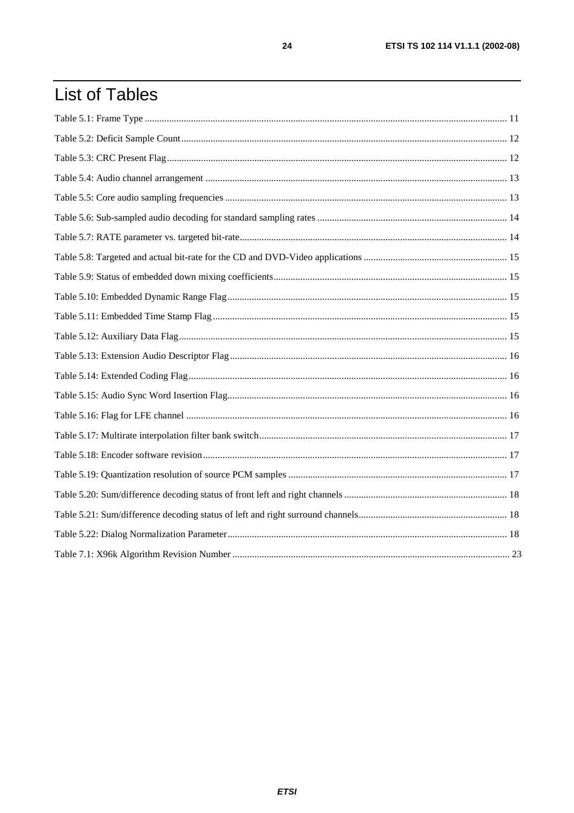# **List of Tables**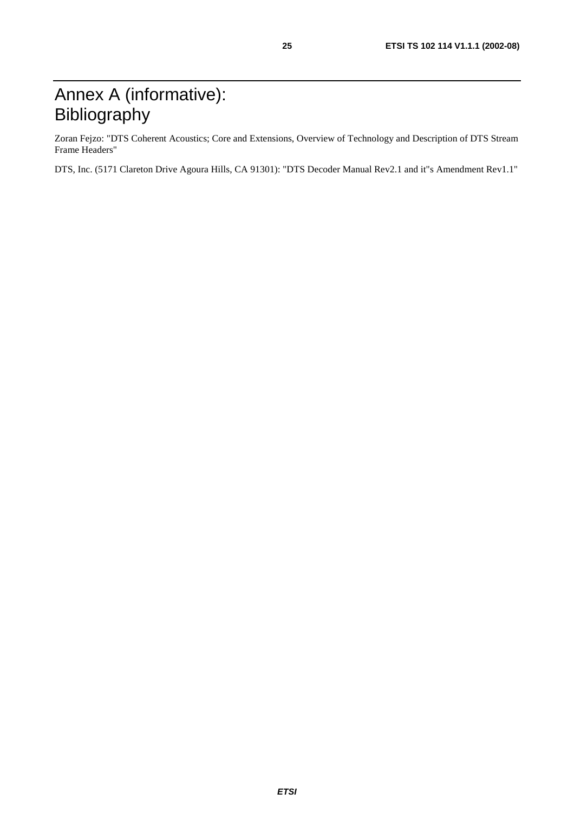# Annex A (informative): Bibliography

Zoran Fejzo: "DTS Coherent Acoustics; Core and Extensions, Overview of Technology and Description of DTS Stream Frame Headers"

DTS, Inc. (5171 Clareton Drive Agoura Hills, CA 91301): "DTS Decoder Manual Rev2.1 and it"s Amendment Rev1.1"